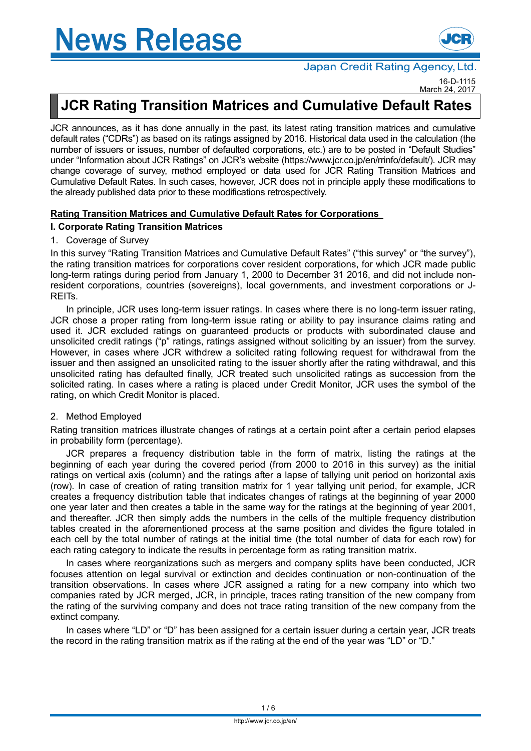

### Japan Credit Rating Agency, Ltd.

16-D-1115 March 24, 2017

# **JCR Rating Transition Matrices and Cumulative Default Rates**

JCR announces, as it has done annually in the past, its latest rating transition matrices and cumulative default rates ("CDRs") as based on its ratings assigned by 2016. Historical data used in the calculation (the number of issuers or issues, number of defaulted corporations, etc.) are to be posted in "Default Studies" under "Information about JCR Ratings" on JCR's website (https://www.jcr.co.jp/en/rrinfo/default/). JCR may change coverage of survey, method employed or data used for JCR Rating Transition Matrices and Cumulative Default Rates. In such cases, however, JCR does not in principle apply these modifications to the already published data prior to these modifications retrospectively.

### **Rating Transition Matrices and Cumulative Default Rates for Corporations**

### **I. Corporate Rating Transition Matrices**

#### 1. Coverage of Survey

In this survey "Rating Transition Matrices and Cumulative Default Rates" ("this survey" or "the survey"), the rating transition matrices for corporations cover resident corporations, for which JCR made public long-term ratings during period from January 1, 2000 to December 31 2016, and did not include nonresident corporations, countries (sovereigns), local governments, and investment corporations or J-REITs.

In principle, JCR uses long-term issuer ratings. In cases where there is no long-term issuer rating, JCR chose a proper rating from long-term issue rating or ability to pay insurance claims rating and used it. JCR excluded ratings on guaranteed products or products with subordinated clause and unsolicited credit ratings ("p" ratings, ratings assigned without soliciting by an issuer) from the survey. However, in cases where JCR withdrew a solicited rating following request for withdrawal from the issuer and then assigned an unsolicited rating to the issuer shortly after the rating withdrawal, and this unsolicited rating has defaulted finally, JCR treated such unsolicited ratings as succession from the solicited rating. In cases where a rating is placed under Credit Monitor, JCR uses the symbol of the rating, on which Credit Monitor is placed.

### 2. Method Employed

Rating transition matrices illustrate changes of ratings at a certain point after a certain period elapses in probability form (percentage).

JCR prepares a frequency distribution table in the form of matrix, listing the ratings at the beginning of each year during the covered period (from 2000 to 2016 in this survey) as the initial ratings on vertical axis (column) and the ratings after a lapse of tallying unit period on horizontal axis (row). In case of creation of rating transition matrix for 1 year tallying unit period, for example, JCR creates a frequency distribution table that indicates changes of ratings at the beginning of year 2000 one year later and then creates a table in the same way for the ratings at the beginning of year 2001, and thereafter. JCR then simply adds the numbers in the cells of the multiple frequency distribution tables created in the aforementioned process at the same position and divides the figure totaled in each cell by the total number of ratings at the initial time (the total number of data for each row) for each rating category to indicate the results in percentage form as rating transition matrix.

In cases where reorganizations such as mergers and company splits have been conducted, JCR focuses attention on legal survival or extinction and decides continuation or non-continuation of the transition observations. In cases where JCR assigned a rating for a new company into which two companies rated by JCR merged, JCR, in principle, traces rating transition of the new company from the rating of the surviving company and does not trace rating transition of the new company from the extinct company.

In cases where "LD" or "D" has been assigned for a certain issuer during a certain year, JCR treats the record in the rating transition matrix as if the rating at the end of the year was "LD" or "D."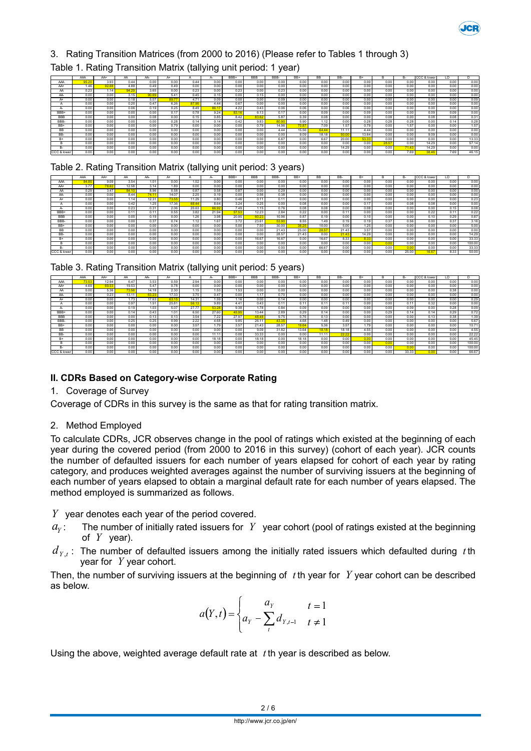

## 3. Rating Transition Matrices (from 2000 to 2016) (Please refer to Tables 1 through 3)

### Table 1. Rating Transition Matrix (tallying unit period: 1 year)

|             | AAA  | AA+   | AA    | AA-   | A+    |       |       | BBB+  | <b>BBB</b> | RRR-  | $RR+$ | BB    | BB-   | B+    |       | <b>B-</b> | CCC & lower | LD   |       |
|-------------|------|-------|-------|-------|-------|-------|-------|-------|------------|-------|-------|-------|-------|-------|-------|-----------|-------------|------|-------|
| AAA         | 95.2 | 3.93  | 0.44  | 0.00  | 0.00  | 0.44  | 0.00  | 0.00  | 0.00       | 0.00  | 0.00  | 0.00  | 0.00  | 0.00  | 0.00  | 0.00      | 0.00        | 0.00 | 0.00  |
| AA+         | 1.46 | 92.68 | 4.88  | 0.49  | 0.49  | 0.00  | 0.00  | 0.00  | 0.00       | 0.00  | 0.00  | 0.00  | 0.00  | 0.00  | 0.00  | 0.00      | 0.00        | 0.00 | 0.00  |
| AA          | 0.23 | 1.14  | 94.29 | 3.65  | 0.00  | 0.23  | 0.00  | 0.23  | 0.00       | 0.23  | 0.00  | 0.00  | 0.00  | 0.00  | 0.00  | 0.00      | 0.00        | 0.00 | 0.00  |
| AA-         | 0.00 | 0.00  | 3.15  | 90.69 | 5.41  | 0.45  | 0.15  | 0.00  | 0.15       | 0.00  | 0.00  | 0.00  | 0.00  | 0.00  | 0.00  | 0.00      | 0.00        | 0.00 | 0.00  |
| $A+$        | 0.00 | 0.00  | 0.18  | 5.07  | 89.77 | 4.71  | 0.09  | 0.00  | 0.00       | 0.09  | 0.00  | 0.00  | 0.00  | 0.00  | 0.00  | 0.00      | 0.00        | 0.00 | 0.09  |
|             | 0.00 | 0.00  | 0.20  | 0.47  | 6.26  | 87.95 | 4.44  | 0.67  | 0.00       | 0.00  | 0.00  | 0.00  | 0.00  | 0.00  | 0.00  | 0.00      | 0.00        | 0.00 | 0.00  |
|             | 0.00 | 0.00  | 0.06  | 0.19  | 0.25  | 8.49  | 86.17 | 4.22  | 0.43       | 0.06  | 0.06  | 0.00  | 0.06  | 0.00  | 0.00  | 0.00      | 0.00        | 0.00 | 0.00  |
| BBB+        | 0.00 | 0.00  | 0.00  | 0.00  | 0.17  | 0.78  | 9.24  | 83.16 | 6.13       | 0.17  | 0.00  | 0.09  | 0.00  | 0.09  | 0.00  | 0.00      | 0.09        | 0.09 | 0.00  |
| <b>BBB</b>  | 0.00 | 0.00  | 0.00  | 0.08  | 0.00  | 0.15  | 0.85  | 8.42  | 83.62      | 5.87  | 0.39  | 0.08  | 0.00  | 0.00  | 0.08  | 0.00      | 0.08        | 0.08 | 0.31  |
| BBB-        | 0.00 | 0.00  | 0.00  | 0.00  | 0.28  | 0.14  | 0.14  | 0.42  | 9.83       | 80.90 | 5.90  | 1.12  | 0.00  | 0.28  | 0.28  | 0.28      | 0.00        | 0.14 | 0.28  |
| BB+         | 0.00 | 0.00  | 0.00  | 0.00  | 0.79  | 0.00  | 0.00  | 0.00  | 0.79       | 14.96 | 70.87 | 7.09  | 1.57  | 0.79  | 0.00  | 1.57      | 0.00        | 0.00 | 1.57  |
| BB          | 0.00 | 0.00  | 0.00  | 0.00  | 0.00  | 0.00  | 0.00  | 0.00  | 0.00       | 444   | 15.56 | 64.44 | 11.11 | 4 44  | 0.00  | 0.00      | 0.00        | 0.00 | 0.00  |
| BB-         | 0.00 | 0.00  | 0.00  | 0.00  | 0.00  | 0.00  | 0.00  | 0.00  | 0.00       | 0.00  | 9.09  | 18.18 | 50.00 | 13.64 | 0.00  | 0.00      | 9.09        | 0.00 | 0.00  |
|             | 0.00 | 0.00  | 0.00  | 0.00  | 0.00  | 0.00  | 0.00  | 0.00  | 0.00       | 6.67  | 0.00  | 6.67  | 20.00 | 53.33 | 0.00  | 0.00      | 0.00        | 0.00 | 13.33 |
|             | 0.00 | 0.00  | 0.00  | 0.00  | 0.00  | 0.00  | 0.00  | 0.00  | 0.00       | 0.00  | 0.00  | 0.00  | 0.00  | 0.00  | 28.57 | 0.00      | 14.29       | 0.00 | 57.14 |
|             | 0.00 | 0.00  | 0.00  | 0.00  | 0.00  | 0.00  | 0.00  | 0.00  | 0.00       | 0.00  | 0.00  | 0.00  | 14.29 | 0.00  | 0.00  | 71.43     | 14.29       | 0.00 | 0.00  |
| CCC & lower | 0.00 | 0.00  | 0.00  | 0.00  | 0.00  | 0.00  | 0.00  | 0.00  | 0.00       | 0.00  | 0.00  | 0.00  | 0.00  | 0.00  | 0.00  | 7.69      | 38.46       | 7.69 | 46.15 |

### Table 2. Rating Transition Matrix (tallying unit period: 3 years)

|             | AAA  | AA+   | AA    | AA-   | $A+$  | Α     | н.    | BBB+  | <b>BBB</b> | BBB-  | RR+   | <b>BB</b> | BB-   | $B+$  | н    | <b>B-</b> | CCC & lower | LD   |        |
|-------------|------|-------|-------|-------|-------|-------|-------|-------|------------|-------|-------|-----------|-------|-------|------|-----------|-------------|------|--------|
| AAA         | 84.8 | 9.09  | 3.54  | 1.01  | 0.00  | 1.52  | 0.00  | 0.00  | 0.00       | 0.00  | 0.00  | 0.00      | 0.00  | 0.00  | 0.00 | 0.00      | 0.00        | 0.00 | 0.00   |
| AA+         | 3.77 | 78.62 | 12.58 | 3.14  | 1.89  | 0.00  | 0.00  | 0.00  | 0.00       | 0.00  | 0.00  | 0.00      | 0.00  | 0.00  | 0.00 | 0.00      | 0.00        | 0.00 | 0.00   |
| AA          | 0.29 | 3.47  | 84.10 | 8.96  | 0.58  | 0.87  | 0.58  | 0.87  | 0.00       | 0.29  | 0.00  | 0.00      | 0.00  | 0.00  | 0.00 | 0.00      | 0.00        | 0.00 | 0.00   |
| AA-         | 0.00 | 0.00  | 8.44  | 74.11 | 14.07 | 2.25  | 0.19  | 0.00  | 0.56       | 0.38  | 0.00  | 0.00      | 0.00  | 0.00  | 0.00 | 0.00      | 0.00        | 0.00 | 0.00   |
| A+          | 0.00 | 0.00  | 1.14  | 12.31 | 73.55 | 11.29 | 0.80  | 0.46  | 0.11       | 0.11  | 0.00  | 0.00      | 0.00  | 0.00  | 0.00 | 0.00      | 0.00        | 0.00 | 0.23   |
|             | 0.00 | 0.00  | 0.42  | 1.25  | 17.36 | 68.44 | 8.64  | 3.24  | 0.25       | 0.00  | 0.08  | 0.00      | 0.00  | 0.17  | 0.00 | 0.08      | 0.08        | 0.00 | 0.00   |
| A-          | 0.00 | 0.00  | 0.23  | 0.31  | 2.06  | 20.63 | 66.92 | 7.49  | 1.15       | 0.76  | 0.08  | 0.08      | 0.00  | 0.08  | 0.00 | 0.00      | 0.00        | 0.15 | 0.08   |
| BBB+        | 0.00 | 0.00  | 0.11  | 0.11  | 0.55  | 3.82  | 21.94 | 57.5  | 12.23      | 2.84  | 0.22  | 0.00      | 0.11  | 0.00  | 0.00 | 0.00      | 0.22        | 0.11 | 0.22   |
| <b>BBB</b>  | 0.00 | 0.00  | 0.00  | 0.19  | 0.00  | 1.26  | 3.98  | 20.95 | 60.23      | 10.96 | 0.87  | 0.19      | 0.00  | 0.10  | 0.00 | 0.00      | 0.10        | 0.29 | 0.87   |
| BBB-        | 0.00 | 0.00  | 0.00  | 0.37  | 0.74  | 1.12  | 1.67  | 3.72  | 23.61      | 53.90 | 8.55  | 1.49      | 0.19  | 0.19  | 0.37 | 0.56      | 0.00        | 0.37 | 3.16   |
| BB+         | 0.00 | 0.00  | 0.00  | 0.00  | 0.00  | 0.00  | 0.00  | 5.00  | 7.50       | 30.00 | 36.25 | 10.00     | 5.00  | 1.25  | 0.00 | 0.00      | 0.00        | 0.00 | 5.00   |
| <b>BB</b>   | 0.00 | 0.00  | 0.00  | 0.00  | 0.00  | 0.00  | 0.00  | 0.00  | 0.00       | 21.43 | 25.00 | 28.57     | 21.43 | 3.57  | 0.00 | 0.00      | 0.00        | 0.00 | 0.00   |
| BB-         | 0.00 | 0.00  | 0.00  | 0.00  | 0.00  | 0.00  | 0.00  | 0.00  | 0.00       | 28.57 | 21.43 | 0.00      | 21.43 | 14.29 | 0.00 | 0.00      | 0.00        | 0.00 | 14.29  |
| $B+$        | 0.00 | 0.00  | 0.00  | 0.00  | 0.00  | 0.00  | 0.00  | 0.00  | 16.67      | 16.67 | 0.00  | 16.67     | 8.33  | 8.33  | 0.00 | 0.00      | 0.00        | 0.00 | 33.33  |
| B           | 0.00 | 0.00  | 0.00  | 0.00  | 0.00  | 0.00  | 0.00  | 0.00  | 0.00       | 0.00  | 0.00  | 0.00      | 0.00  | 0.00  | 0.00 | 0.00      | 0.00        | 0.00 | 100.00 |
| <b>B-</b>   | 0.00 | 0.00  | 0.00  | 0.00  | 0.00  | 0.00  | 0.00  | 0.00  | 0.00       | 0.00  | 0.00  | 66.67     | 0.00  | 0.00  | 0.00 | 0.00      | 0.00        | 0.00 | 33.33  |
| CCC & lower | 0.00 | 0.00  | 0.00  | 0.00  | 0.00  | 0.00  | 0.00  | 0.00  | 0.00       | 0.00  | 0.00  | 0.00      | 0.00  | 0.00  | 0.00 | 25.00     | 16.67       | 8.33 | 50.00  |

|  | Table 3. Rating Transition Matrix (tallying unit period: 5 years) |  |  |  |
|--|-------------------------------------------------------------------|--|--|--|
|  |                                                                   |  |  |  |

|                         | AAA   | AA+   | AA    | AA-   |       |       |       | BBB+  | <b>BBB</b> | BBB-  | BB+   | <b>BB</b> | BB-   | $B+$ |      |       | CCC & lower | LD   |        |
|-------------------------|-------|-------|-------|-------|-------|-------|-------|-------|------------|-------|-------|-----------|-------|------|------|-------|-------------|------|--------|
|                         |       |       |       |       | A+    |       | A     |       |            |       |       |           |       |      |      | в-    |             |      | D      |
| AAA                     | 73.53 | 12.94 | 6.47  | 3.53  | 0.59  | 2.94  | 0.00  | 0.00  | 0.00       | 0.00  | 0.00  | 0.00      | 0.00  | 0.00 | 0.00 | 0.00  | 0.00        | 0.00 | 0.00   |
| AA+                     | 4.69  | 69.53 | 19.53 | 5.47  | 0.78  | 0.00  | 0.00  | 0.00  | 0.00       | 0.00  | 0.00  | 0.00      | 0.00  | 0.00 | 0.00 | 0.00  | 0.00        | 0.00 | 0.00   |
| AA                      | 0.00  | 5.36  | 73.56 | 14.18 | 2.30  | 1.15  | 1.53  | 1.53  | 0.00       | 0.00  | 0.00  | 0.00      | 0.00  | 0.00 | 0.00 | 0.00  | 0.00        | 0.38 | 0.00   |
| AA-                     | 0.00  | 0.23  | 13.11 | 63.23 | 17.33 | 3.75  | 0.47  | 0.00  | 1.17       | 0.70  | 0.00  | 0.00      | 0.00  | 0.00 | 0.00 | 0.00  | 0.00        | 0.00 | 0.00   |
| A+                      | 0.00  | 0.00  | 1.73  | 17.63 | 63.15 | 14.31 | 1.59  | 1.16  | 0.00       | 0.14  | 0.00  | 0.00      | 0.00  | 0.00 | 0.00 | 0.00  | 0.00        | 0.00 | 0.29   |
|                         | 0.00  | 0.00  | 0.97  | 1.51  | 25.81 | 56.13 | 9.89  | 4.41  | 0.43       | 0.11  | 0.11  | 0.1'      | 0.11  | 0.00 | 0.00 | 0.11  | 0.32        | 0.00 | 0.00   |
| н.                      | 0.00  | 0.00  | 0.19  | 1.03  | 5.07  | 27.77 | 53.28 | 9.38  | 1.78       | 0.84  | 0.09  | 0.09      | 0.00  | 0.00 | 0.00 | 0.09  | 0.00        | 0.28 | 0.09   |
| BBB+                    | 0.00  | 0.00  | 0.14  | 0.43  | 1.01  | 6.50  | 27.60 | 45.95 | 13.44      | 2.89  | 0.29  | 0.14      | 0.00  | 0.00 | 0.29 | 0.14  | 0.14        | 0.29 | 0.72   |
| <b>BBB</b>              | 0.00  | 0.00  | 0.00  | 0.13  | 0.13  | 3.54  | 7.22  | 27.97 | 48.48      | 9.75  | 0.76  | 0.13      | 0.00  | 0.00 | 0.00 | 0.00  | 0.13        | 0.38 | 1.39   |
| BBB-                    | 0.00  | 0.00  | 0.25  | 0.25  | 0.99  | 2.22  | 4.68  | 9.85  | 26.11      | 43.35 | 4.68  | 1.48      | 0.49  | 0.00 | 0.00 | 0.00  | 0.00        | 0.00 | 5.67   |
| BB+                     | 0.00  | 0.00  | 0.00  | 0.00  | 0.00  | 3.57  | 1.79  | 3.57  | 21.43      | 28.57 | 19.64 | 5.36      | 3.57  | 1.79 | 0.00 | 0.00  | 0.00        | 0.00 | 10.71  |
| BB                      | 0.00  | 0.00  | 0.00  | 0.00  | 0.00  | 0.00  | 0.00  | 0.00  | 9.09       | 31.82 | 13.64 | 18.18     | 18.18 | 4.55 | 0.00 | 0.00  | 0.00        | 0.00 | 4.55   |
| BB-                     | 0.00  | 0.00  | 0.00  | 0.00  | 0.00  | 0.00  | 11.11 | 0.00  | 33.33      | 0.00  | 0.00  | 11.1'     | 22.22 | 0.00 | 0.00 | 0.00  | 0.00        | 0.00 | 22.22  |
| B+                      | 0.00  | 0.00  | 0.00  | 0.00  | 0.00  | 0.00  | 18.18 | 0.00  | 18.18      | 0.00  | 18.18 | 0.00      | 0.00  | 0.00 | 0.00 | 0.00  | 0.00        | 0.00 | 45.45  |
|                         | 0.00  | 0.00  | 0.00  | 0.00  | 0.00  | 0.00  | 0.00  | 0.00  | 0.00       | 0.00  | 0.00  | 0.00      | 0.00  | 0.00 | 0.00 | 0.00  | 0.00        | 0.00 | 100.00 |
|                         | 0.00  | 0.00  | 0.00  | 0.00  | 0.00  | 0.00  | 0.00  | 0.00  | 0.00       | 0.00  | 0.00  | 0.00      | 0.00  | 0.00 | 0.00 | 0.00  | 0.00        | 0.00 | 100.00 |
| <b>ICCC &amp; lower</b> | 0.00  | 0.00  | 0.00  | 0.00  | 0.00  | 0.00  | 0.00  | 0.00  | 0.00       | 0.00  | 0.00  | 0.00      | 0.00  | 0.00 | 0.00 | 33.33 | 0.00        | 0.00 | 66.67  |

### **II. CDRs Based on Category-wise Corporate Rating**

### 1. Coverage of Survey

Coverage of CDRs in this survey is the same as that for rating transition matrix.

### 2. Method Employed

To calculate CDRs, JCR observes change in the pool of ratings which existed at the beginning of each year during the covered period (from 2000 to 2016 in this survey) (cohort of each year). JCR counts the number of defaulted issuers for each number of years elapsed for cohort of each year by rating category, and produces weighted averages against the number of surviving issuers at the beginning of each number of years elapsed to obtain a marginal default rate for each number of years elapsed. The method employed is summarized as follows.

*Y* year denotes each year of the period covered.

- $a_{v}$ : The number of initially rated issuers for  $Y$  year cohort (pool of ratings existed at the beginning of *Y* year).
- $d_{Y,t}$ : The number of defaulted issuers among the initially rated issuers which defaulted during *t* th year for *Y* year cohort.

Then, the number of surviving issuers at the beginning of *t* th year for *Y* year cohort can be described as below.

$$
a(Y,t) = \begin{cases} a_Y & t = 1 \\ a_Y - \sum_{t=1}^{t} d_{Y,t-1} & t \neq 1 \end{cases}
$$

Using the above, weighted average default rate at *t* th year is described as below.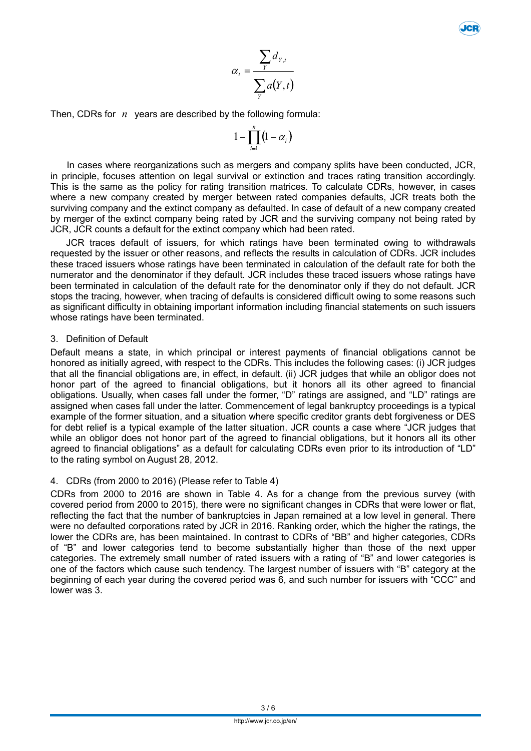$$
\alpha_t = \frac{\sum_{Y} d_{Y,t}}{\sum_{Y} a(Y,t)}
$$

Then, CDRs for *n* years are described by the following formula:

$$
1-\prod_{i=1}^n\bigl(1-\alpha_i\bigr)
$$

In cases where reorganizations such as mergers and company splits have been conducted, JCR, in principle, focuses attention on legal survival or extinction and traces rating transition accordingly. This is the same as the policy for rating transition matrices. To calculate CDRs, however, in cases where a new company created by merger between rated companies defaults, JCR treats both the surviving company and the extinct company as defaulted. In case of default of a new company created by merger of the extinct company being rated by JCR and the surviving company not being rated by JCR, JCR counts a default for the extinct company which had been rated.

JCR traces default of issuers, for which ratings have been terminated owing to withdrawals requested by the issuer or other reasons, and reflects the results in calculation of CDRs. JCR includes these traced issuers whose ratings have been terminated in calculation of the default rate for both the numerator and the denominator if they default. JCR includes these traced issuers whose ratings have been terminated in calculation of the default rate for the denominator only if they do not default. JCR stops the tracing, however, when tracing of defaults is considered difficult owing to some reasons such as significant difficulty in obtaining important information including financial statements on such issuers whose ratings have been terminated.

#### 3. Definition of Default

Default means a state, in which principal or interest payments of financial obligations cannot be honored as initially agreed, with respect to the CDRs. This includes the following cases: (i) JCR judges that all the financial obligations are, in effect, in default. (ii) JCR judges that while an obligor does not honor part of the agreed to financial obligations, but it honors all its other agreed to financial obligations. Usually, when cases fall under the former, "D" ratings are assigned, and "LD" ratings are assigned when cases fall under the latter. Commencement of legal bankruptcy proceedings is a typical example of the former situation, and a situation where specific creditor grants debt forgiveness or DES for debt relief is a typical example of the latter situation. JCR counts a case where "JCR judges that while an obligor does not honor part of the agreed to financial obligations, but it honors all its other agreed to financial obligations" as a default for calculating CDRs even prior to its introduction of "LD" to the rating symbol on August 28, 2012.

### 4. CDRs (from 2000 to 2016) (Please refer to Table 4)

CDRs from 2000 to 2016 are shown in Table 4. As for a change from the previous survey (with covered period from 2000 to 2015), there were no significant changes in CDRs that were lower or flat, reflecting the fact that the number of bankruptcies in Japan remained at a low level in general. There were no defaulted corporations rated by JCR in 2016. Ranking order, which the higher the ratings, the lower the CDRs are, has been maintained. In contrast to CDRs of "BB" and higher categories, CDRs of "B" and lower categories tend to become substantially higher than those of the next upper categories. The extremely small number of rated issuers with a rating of "B" and lower categories is one of the factors which cause such tendency. The largest number of issuers with "B" category at the beginning of each year during the covered period was 6, and such number for issuers with "CCC" and lower was 3.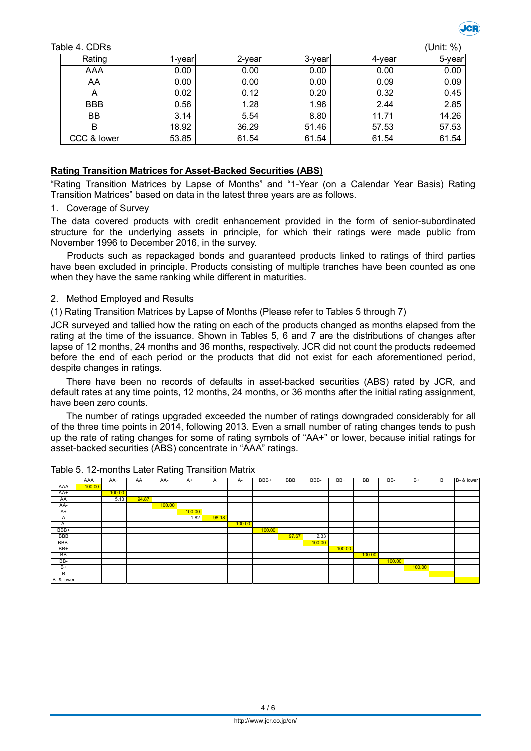| Table 4. CDRs |        |        |        |        | (Unit: %) |
|---------------|--------|--------|--------|--------|-----------|
| Rating        | l-year | 2-year | 3-year | 4-year | 5-year    |
| AAA           | 0.00   | 0.00   | 0.00   | 0.00   | 0.00      |
| AA            | 0.00   | 0.00   | 0.00   | 0.09   | 0.09      |
| Α             | 0.02   | 0.12   | 0.20   | 0.32   | 0.45      |
| <b>BBB</b>    | 0.56   | 1.28   | 1.96   | 2.44   | 2.85      |
| BB            | 3.14   | 5.54   | 8.80   | 11.71  | 14.26     |
| B             | 18.92  | 36.29  | 51.46  | 57.53  | 57.53     |
| CCC & lower   | 53.85  | 61.54  | 61.54  | 61.54  | 61.54     |

### **Rating Transition Matrices for Asset-Backed Securities (ABS)**

"Rating Transition Matrices by Lapse of Months" and "1-Year (on a Calendar Year Basis) Rating Transition Matrices" based on data in the latest three years are as follows.

#### 1. Coverage of Survey

The data covered products with credit enhancement provided in the form of senior-subordinated structure for the underlying assets in principle, for which their ratings were made public from November 1996 to December 2016, in the survey.

Products such as repackaged bonds and guaranteed products linked to ratings of third parties have been excluded in principle. Products consisting of multiple tranches have been counted as one when they have the same ranking while different in maturities.

#### 2. Method Employed and Results

(1) Rating Transition Matrices by Lapse of Months (Please refer to Tables 5 through 7)

JCR surveyed and tallied how the rating on each of the products changed as months elapsed from the rating at the time of the issuance. Shown in Tables 5, 6 and 7 are the distributions of changes after lapse of 12 months, 24 months and 36 months, respectively. JCR did not count the products redeemed before the end of each period or the products that did not exist for each aforementioned period, despite changes in ratings.

There have been no records of defaults in asset-backed securities (ABS) rated by JCR, and default rates at any time points, 12 months, 24 months, or 36 months after the initial rating assignment, have been zero counts.

The number of ratings upgraded exceeded the number of ratings downgraded considerably for all of the three time points in 2014, following 2013. Even a small number of rating changes tends to push up the rate of rating changes for some of rating symbols of "AA+" or lower, because initial ratings for asset-backed securities (ABS) concentrate in "AAA" ratings.

|            | AAA    | AA+    | AA    | AA-    | $A+$   | A     | A-     | BBB+   | BBB   | BBB-   | BB+    | BB     | BB-    | $B+$   | В | B- & lower |
|------------|--------|--------|-------|--------|--------|-------|--------|--------|-------|--------|--------|--------|--------|--------|---|------------|
| AAA        | 100.00 |        |       |        |        |       |        |        |       |        |        |        |        |        |   |            |
| AA+        |        | 100.00 |       |        |        |       |        |        |       |        |        |        |        |        |   |            |
| AA         |        | 5.13   | 94.87 |        |        |       |        |        |       |        |        |        |        |        |   |            |
| AA-        |        |        |       | 100.00 |        |       |        |        |       |        |        |        |        |        |   |            |
| $A+$       |        |        |       |        | 100.00 |       |        |        |       |        |        |        |        |        |   |            |
| A          |        |        |       |        | 1.82   | 98.18 |        |        |       |        |        |        |        |        |   |            |
| A-         |        |        |       |        |        |       | 100.00 |        |       |        |        |        |        |        |   |            |
| BBB+       |        |        |       |        |        |       |        | 100.00 |       |        |        |        |        |        |   |            |
| <b>BBB</b> |        |        |       |        |        |       |        |        | 97.67 | 2.33   |        |        |        |        |   |            |
| BBB-       |        |        |       |        |        |       |        |        |       | 100.00 |        |        |        |        |   |            |
| $BB+$      |        |        |       |        |        |       |        |        |       |        | 100.00 |        |        |        |   |            |
| <b>BB</b>  |        |        |       |        |        |       |        |        |       |        |        | 100.00 |        |        |   |            |
| BB-        |        |        |       |        |        |       |        |        |       |        |        |        | 100.00 |        |   |            |
| $B+$       |        |        |       |        |        |       |        |        |       |        |        |        |        | 100.00 |   |            |
| B          |        |        |       |        |        |       |        |        |       |        |        |        |        |        |   |            |
| B- & lower |        |        |       |        |        |       |        |        |       |        |        |        |        |        |   |            |

Table 5. 12-months Later Rating Transition Matrix

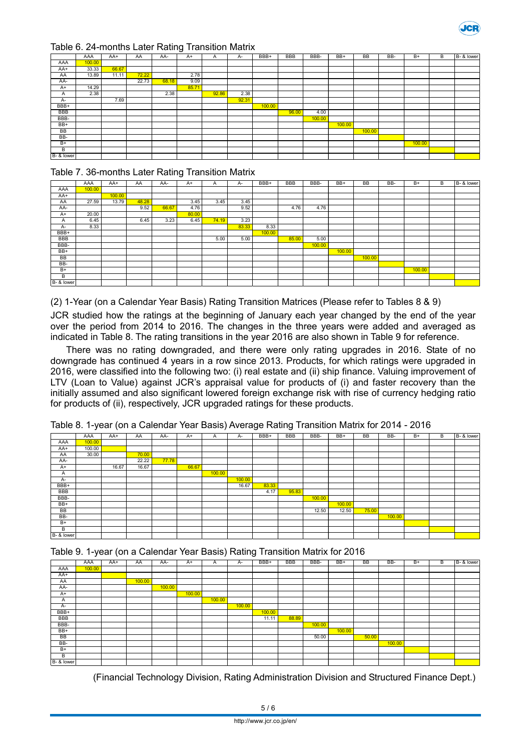

#### Table 6. 24-months Later Rating Transition Matrix

|            |        |       |       |       | ັ     |       |       |        |            |        |        |           |     |        |   |            |
|------------|--------|-------|-------|-------|-------|-------|-------|--------|------------|--------|--------|-----------|-----|--------|---|------------|
|            | AAA    | AA+   | AA    | AA-   | $A+$  | A     | A-    | BBB+   | <b>BBB</b> | BBB-   | BB+    | <b>BB</b> | BB- | $B+$   | B | B- & lower |
| AAA        | 100.00 |       |       |       |       |       |       |        |            |        |        |           |     |        |   |            |
| AA+        | 33.33  | 66.67 |       |       |       |       |       |        |            |        |        |           |     |        |   |            |
| AA         | 13.89  | 11.11 | 72.22 |       | 2.78  |       |       |        |            |        |        |           |     |        |   |            |
| AA-        |        |       | 22.73 | 68.18 | 9.09  |       |       |        |            |        |        |           |     |        |   |            |
| $A+$       | 14.29  |       |       |       | 85.71 |       |       |        |            |        |        |           |     |        |   |            |
| A          | 2.38   |       |       | 2.38  |       | 92.86 | 2.38  |        |            |        |        |           |     |        |   |            |
| $A -$      |        | 7.69  |       |       |       |       | 92.31 |        |            |        |        |           |     |        |   |            |
| BBB+       |        |       |       |       |       |       |       | 100.00 |            |        |        |           |     |        |   |            |
| <b>BBB</b> |        |       |       |       |       |       |       |        | 96.00      | 4.00   |        |           |     |        |   |            |
| BBB-       |        |       |       |       |       |       |       |        |            | 100.00 |        |           |     |        |   |            |
| $BB+$      |        |       |       |       |       |       |       |        |            |        | 100.00 |           |     |        |   |            |
| <b>BB</b>  |        |       |       |       |       |       |       |        |            |        |        | 100.00    |     |        |   |            |
| BB-        |        |       |       |       |       |       |       |        |            |        |        |           |     |        |   |            |
| $B+$       |        |       |       |       |       |       |       |        |            |        |        |           |     | 100.00 |   |            |
| B          |        |       |       |       |       |       |       |        |            |        |        |           |     |        |   |            |
| B- & lower |        |       |       |       |       |       |       |        |            |        |        |           |     |        |   |            |

#### Table 7. 36-months Later Rating Transition Matrix

|            | AAA    | AA+    | AA    | AA-   | $A+$  | A     | A-    | BBB+   | <b>BBB</b> | BBB-   | BB+    | <b>BB</b> | BB- | $B+$   | B | B- & lower |
|------------|--------|--------|-------|-------|-------|-------|-------|--------|------------|--------|--------|-----------|-----|--------|---|------------|
| AAA        | 100.00 |        |       |       |       |       |       |        |            |        |        |           |     |        |   |            |
| AA+        |        | 100.00 |       |       |       |       |       |        |            |        |        |           |     |        |   |            |
| AA         | 27.59  | 13.79  | 48.28 |       | 3.45  | 3.45  | 3.45  |        |            |        |        |           |     |        |   |            |
| AA-        |        |        | 9.52  | 66.67 | 4.76  |       | 9.52  |        | 4.76       | 4.76   |        |           |     |        |   |            |
| $A+$       | 20.00  |        |       |       | 80.00 |       |       |        |            |        |        |           |     |        |   |            |
| A          | 6.45   |        | 6.45  | 3.23  | 6.45  | 74.19 | 3.23  |        |            |        |        |           |     |        |   |            |
| A-         | 8.33   |        |       |       |       |       | 83.33 | 8.33   |            |        |        |           |     |        |   |            |
| BBB+       |        |        |       |       |       |       |       | 100.00 |            |        |        |           |     |        |   |            |
| <b>BBB</b> |        |        |       |       |       | 5.00  | 5.00  |        | 85.00      | 5.00   |        |           |     |        |   |            |
| BBB-       |        |        |       |       |       |       |       |        |            | 100.00 |        |           |     |        |   |            |
| $BB+$      |        |        |       |       |       |       |       |        |            |        | 100.00 |           |     |        |   |            |
| BB         |        |        |       |       |       |       |       |        |            |        |        | 100.00    |     |        |   |            |
| BB-        |        |        |       |       |       |       |       |        |            |        |        |           |     |        |   |            |
| $B+$       |        |        |       |       |       |       |       |        |            |        |        |           |     | 100.00 |   |            |
| B          |        |        |       |       |       |       |       |        |            |        |        |           |     |        |   |            |
| B- & lower |        |        |       |       |       |       |       |        |            |        |        |           |     |        |   |            |

(2) 1-Year (on a Calendar Year Basis) Rating Transition Matrices (Please refer to Tables 8 & 9)

JCR studied how the ratings at the beginning of January each year changed by the end of the year over the period from 2014 to 2016. The changes in the three years were added and averaged as indicated in Table 8. The rating transitions in the year 2016 are also shown in Table 9 for reference.

There was no rating downgraded, and there were only rating upgrades in 2016. State of no downgrade has continued 4 years in a row since 2013. Products, for which ratings were upgraded in 2016, were classified into the following two: (i) real estate and (ii) ship finance. Valuing improvement of LTV (Loan to Value) against JCR's appraisal value for products of (i) and faster recovery than the initially assumed and also significant lowered foreign exchange risk with rise of currency hedging ratio for products of (ii), respectively, JCR upgraded ratings for these products.

|            | AAA    | AA+   | AA    | AA-   | $A+$  | A      | A-     | BBB+  | <b>BBB</b> | BBB-   | BB+    | <b>BB</b> | BB-    | $B+$ | В | B- & lower |
|------------|--------|-------|-------|-------|-------|--------|--------|-------|------------|--------|--------|-----------|--------|------|---|------------|
| AAA        | 100.00 |       |       |       |       |        |        |       |            |        |        |           |        |      |   |            |
| AA+        | 100.00 |       |       |       |       |        |        |       |            |        |        |           |        |      |   |            |
| AA         | 30.00  |       | 70.00 |       |       |        |        |       |            |        |        |           |        |      |   |            |
| AA-        |        |       | 22.22 | 77.78 |       |        |        |       |            |        |        |           |        |      |   |            |
| $A+$       |        | 16.67 | 16.67 |       | 66.67 |        |        |       |            |        |        |           |        |      |   |            |
| A          |        |       |       |       |       | 100.00 |        |       |            |        |        |           |        |      |   |            |
| A-         |        |       |       |       |       |        | 100.00 |       |            |        |        |           |        |      |   |            |
| BBB+       |        |       |       |       |       |        | 16.67  | 83.33 |            |        |        |           |        |      |   |            |
| <b>BBB</b> |        |       |       |       |       |        |        | 4.17  | 95.83      |        |        |           |        |      |   |            |
| BBB-       |        |       |       |       |       |        |        |       |            | 100.00 |        |           |        |      |   |            |
| $BB+$      |        |       |       |       |       |        |        |       |            |        | 100.00 |           |        |      |   |            |
| BB         |        |       |       |       |       |        |        |       |            | 12.50  | 12.50  | 75.00     |        |      |   |            |
| BB-        |        |       |       |       |       |        |        |       |            |        |        |           | 100.00 |      |   |            |
| $B+$       |        |       |       |       |       |        |        |       |            |        |        |           |        |      |   |            |
| B          |        |       |       |       |       |        |        |       |            |        |        |           |        |      |   |            |
| B- & lower |        |       |       |       |       |        |        |       |            |        |        |           |        |      |   |            |

Table 8. 1-year (on a Calendar Year Basis) Average Rating Transition Matrix for 2014 - 2016

Table 9. 1-year (on a Calendar Year Basis) Rating Transition Matrix for 2016

|            | AAA    | AA+ | AA     | AA-    | A+     | A      | A-     | BBB+   | <b>BBB</b> | BBB-   | $BB+$  | <b>BB</b> | BB-    | $B+$ | В | B- & lower |
|------------|--------|-----|--------|--------|--------|--------|--------|--------|------------|--------|--------|-----------|--------|------|---|------------|
| AAA        | 100.00 |     |        |        |        |        |        |        |            |        |        |           |        |      |   |            |
| AA+        |        |     |        |        |        |        |        |        |            |        |        |           |        |      |   |            |
| AA         |        |     | 100.00 |        |        |        |        |        |            |        |        |           |        |      |   |            |
| AA-        |        |     |        | 100.00 |        |        |        |        |            |        |        |           |        |      |   |            |
| $A+$       |        |     |        |        | 100.00 |        |        |        |            |        |        |           |        |      |   |            |
| A          |        |     |        |        |        | 100.00 |        |        |            |        |        |           |        |      |   |            |
| A-         |        |     |        |        |        |        | 100.00 |        |            |        |        |           |        |      |   |            |
| BBB+       |        |     |        |        |        |        |        | 100.00 |            |        |        |           |        |      |   |            |
| BBB        |        |     |        |        |        |        |        | 11.11  | 88.89      |        |        |           |        |      |   |            |
| BBB-       |        |     |        |        |        |        |        |        |            | 100.00 |        |           |        |      |   |            |
| $BB+$      |        |     |        |        |        |        |        |        |            |        | 100.00 |           |        |      |   |            |
| BB         |        |     |        |        |        |        |        |        |            | 50.00  |        | 50.00     |        |      |   |            |
| BB-        |        |     |        |        |        |        |        |        |            |        |        |           | 100.00 |      |   |            |
| $B+$       |        |     |        |        |        |        |        |        |            |        |        |           |        |      |   |            |
| B          |        |     |        |        |        |        |        |        |            |        |        |           |        |      |   |            |
| B- & lower |        |     |        |        |        |        |        |        |            |        |        |           |        |      |   |            |

(Financial Technology Division, Rating Administration Division and Structured Finance Dept.)